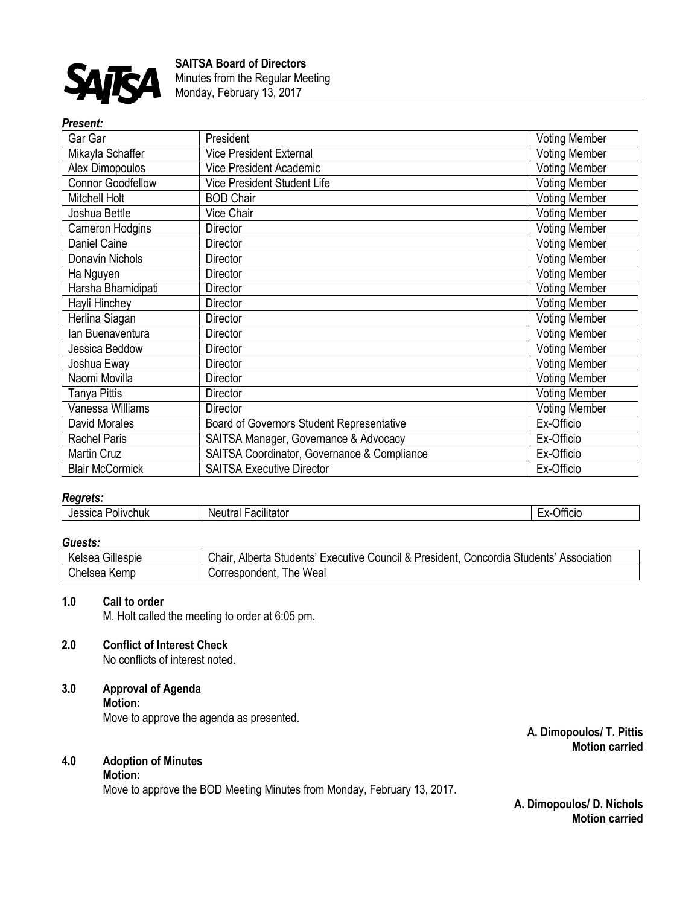

#### *Present:*

| Gar Gar                  | President                                   | <b>Voting Member</b> |
|--------------------------|---------------------------------------------|----------------------|
| Mikayla Schaffer         | <b>Vice President External</b>              | <b>Voting Member</b> |
| Alex Dimopoulos          | <b>Vice President Academic</b>              | <b>Voting Member</b> |
| <b>Connor Goodfellow</b> | Vice President Student Life                 | <b>Voting Member</b> |
| Mitchell Holt            | <b>BOD Chair</b>                            | <b>Voting Member</b> |
| Joshua Bettle            | Vice Chair                                  | <b>Voting Member</b> |
| Cameron Hodgins          | <b>Director</b>                             | <b>Voting Member</b> |
| Daniel Caine             | <b>Director</b>                             | <b>Voting Member</b> |
| Donavin Nichols          | <b>Director</b>                             | <b>Voting Member</b> |
| Ha Nguyen                | Director                                    | <b>Voting Member</b> |
| Harsha Bhamidipati       | <b>Director</b>                             | <b>Voting Member</b> |
| Hayli Hinchey            | <b>Director</b>                             | <b>Voting Member</b> |
| Herlina Siagan           | Director                                    | <b>Voting Member</b> |
| lan Buenaventura         | <b>Director</b>                             | <b>Voting Member</b> |
| Jessica Beddow           | Director                                    | <b>Voting Member</b> |
| Joshua Eway              | <b>Director</b>                             | <b>Voting Member</b> |
| Naomi Movilla            | <b>Director</b>                             | <b>Voting Member</b> |
| Tanya Pittis             | <b>Director</b>                             | <b>Voting Member</b> |
| Vanessa Williams         | <b>Director</b>                             | <b>Voting Member</b> |
| David Morales            | Board of Governors Student Representative   | Ex-Officio           |
| <b>Rachel Paris</b>      | SAITSA Manager, Governance & Advocacy       | Ex-Officio           |
| <b>Martin Cruz</b>       | SAITSA Coordinator, Governance & Compliance | Ex-Officio           |
| <b>Blair McCormick</b>   | <b>SAITSA Executive Director</b>            | Ex-Officio           |

## *Regrets:*

# *Guests:*

| Kelsea Gillespie | Chair,<br>Alberta<br>a Students' Executive Council & President, Concordia Students' Association |
|------------------|-------------------------------------------------------------------------------------------------|
| Chelsea Kemp     | The Weal<br>Correspondent.                                                                      |

#### **1.0 Call to order**

M. Holt called the meeting to order at 6:05 pm.

# **2.0 Conflict of Interest Check**

No conflicts of interest noted.

**3.0 Approval of Agenda Motion:** Move to approve the agenda as presented.

## **4.0 Adoption of Minutes**

**Motion:**

Move to approve the BOD Meeting Minutes from Monday, February 13, 2017.

**A. Dimopoulos/ T. Pittis Motion carried**

**A. Dimopoulos/ D. Nichols Motion carried**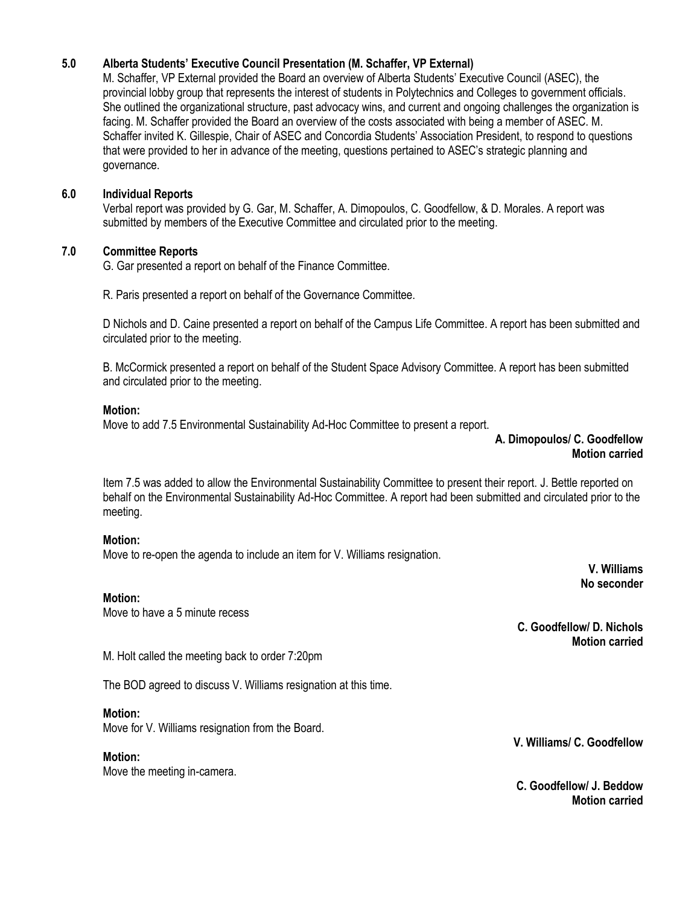# **5.0 Alberta Students' Executive Council Presentation (M. Schaffer, VP External)**

M. Schaffer, VP External provided the Board an overview of Alberta Students' Executive Council (ASEC), the provincial lobby group that represents the interest of students in Polytechnics and Colleges to government officials. She outlined the organizational structure, past advocacy wins, and current and ongoing challenges the organization is facing. M. Schaffer provided the Board an overview of the costs associated with being a member of ASEC. M. Schaffer invited K. Gillespie, Chair of ASEC and Concordia Students' Association President, to respond to questions that were provided to her in advance of the meeting, questions pertained to ASEC's strategic planning and governance.

## **6.0 Individual Reports**

Verbal report was provided by G. Gar, M. Schaffer, A. Dimopoulos, C. Goodfellow, & D. Morales. A report was submitted by members of the Executive Committee and circulated prior to the meeting.

## **7.0 Committee Reports**

G. Gar presented a report on behalf of the Finance Committee.

R. Paris presented a report on behalf of the Governance Committee.

D Nichols and D. Caine presented a report on behalf of the Campus Life Committee. A report has been submitted and circulated prior to the meeting.

B. McCormick presented a report on behalf of the Student Space Advisory Committee. A report has been submitted and circulated prior to the meeting.

#### **Motion:**

Move to add 7.5 Environmental Sustainability Ad-Hoc Committee to present a report.

**A. Dimopoulos/ C. Goodfellow Motion carried**

Item 7.5 was added to allow the Environmental Sustainability Committee to present their report. J. Bettle reported on behalf on the Environmental Sustainability Ad-Hoc Committee. A report had been submitted and circulated prior to the meeting.

# **Motion:**

Move to re-open the agenda to include an item for V. Williams resignation.

#### **Motion:**

Move to have a 5 minute recess

**C. Goodfellow/ D. Nichols Motion carried**

**V. Williams No seconder**

M. Holt called the meeting back to order 7:20pm

The BOD agreed to discuss V. Williams resignation at this time.

#### **Motion:**

Move for V. Williams resignation from the Board.

## **Motion:**

Move the meeting in-camera.

**V. Williams/ C. Goodfellow**

**C. Goodfellow/ J. Beddow Motion carried**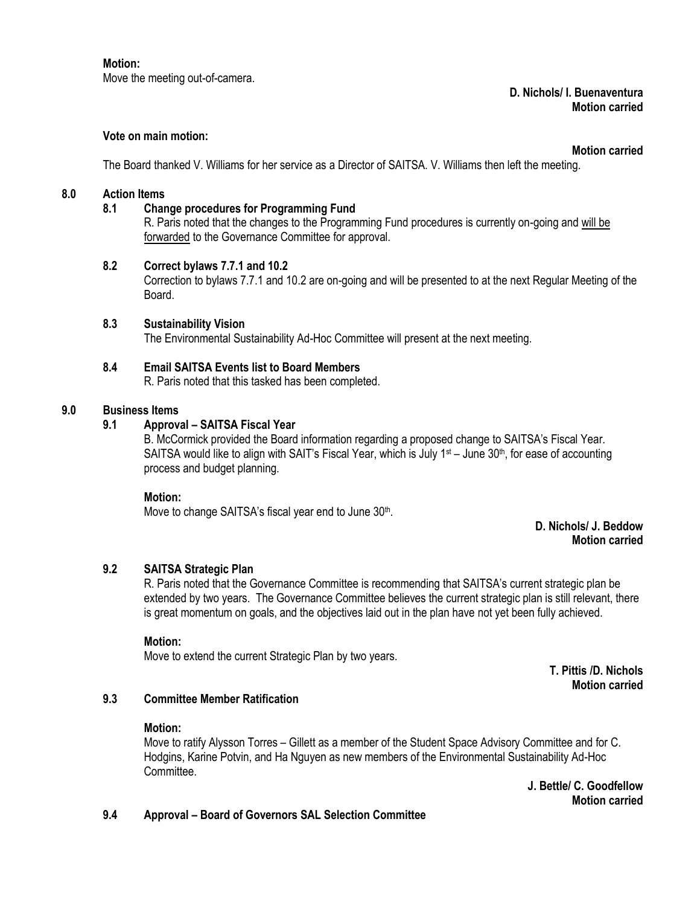**Motion:**

Move the meeting out-of-camera.

# **D. Nichols/ I. Buenaventura Motion carried**

# **Vote on main motion:**

**Motion carried**

The Board thanked V. Williams for her service as a Director of SAITSA. V. Williams then left the meeting.

## **8.0 Action Items**

# **8.1 Change procedures for Programming Fund**

R. Paris noted that the changes to the Programming Fund procedures is currently on-going and will be forwarded to the Governance Committee for approval.

# **8.2 Correct bylaws 7.7.1 and 10.2**

Correction to bylaws 7.7.1 and 10.2 are on-going and will be presented to at the next Regular Meeting of the Board.

## **8.3 Sustainability Vision**

The Environmental Sustainability Ad-Hoc Committee will present at the next meeting.

## **8.4 Email SAITSA Events list to Board Members**

R. Paris noted that this tasked has been completed.

# **9.0 Business Items**

# **9.1 Approval – SAITSA Fiscal Year**

B. McCormick provided the Board information regarding a proposed change to SAITSA's Fiscal Year. SAITSA would like to align with SAIT's Fiscal Year, which is July  $1<sup>st</sup> -$  June 30<sup>th</sup>, for ease of accounting process and budget planning.

## **Motion:**

Move to change SAITSA's fiscal year end to June 30<sup>th</sup>.

# **D. Nichols/ J. Beddow Motion carried**

# **9.2 SAITSA Strategic Plan**

R. Paris noted that the Governance Committee is recommending that SAITSA's current strategic plan be extended by two years. The Governance Committee believes the current strategic plan is still relevant, there is great momentum on goals, and the objectives laid out in the plan have not yet been fully achieved.

#### **Motion:**

Move to extend the current Strategic Plan by two years.

**T. Pittis /D. Nichols Motion carried**

# **9.3 Committee Member Ratification**

#### **Motion:**

Move to ratify Alysson Torres – Gillett as a member of the Student Space Advisory Committee and for C. Hodgins, Karine Potvin, and Ha Nguyen as new members of the Environmental Sustainability Ad-Hoc **Committee.** 

> **J. Bettle/ C. Goodfellow Motion carried**

# **9.4 Approval – Board of Governors SAL Selection Committee**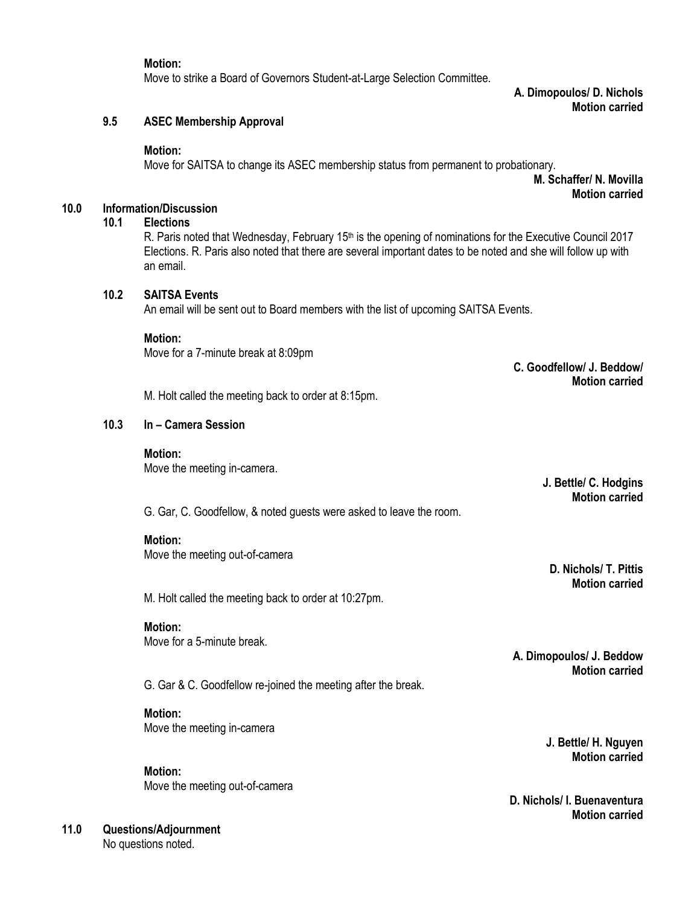**Motion:**

Move to strike a Board of Governors Student-at-Large Selection Committee.

**A. Dimopoulos/ D. Nichols Motion carried**

# **9.5 ASEC Membership Approval**

## **Motion:**

Move for SAITSA to change its ASEC membership status from permanent to probationary.

**M. Schaffer/ N. Movilla Motion carried**

# **10.0 Information/Discussion**

# **10.1 Elections**

R. Paris noted that Wednesday, February 15<sup>th</sup> is the opening of nominations for the Executive Council 2017 Elections. R. Paris also noted that there are several important dates to be noted and she will follow up with an email.

## **10.2 SAITSA Events**

An email will be sent out to Board members with the list of upcoming SAITSA Events.

**Motion:** Move for a 7-minute break at 8:09pm

M. Holt called the meeting back to order at 8:15pm.

#### **10.3 In – Camera Session**

**Motion:**

Move the meeting in-camera.

G. Gar, C. Goodfellow, & noted guests were asked to leave the room.

## **Motion:**

Move the meeting out-of-camera

M. Holt called the meeting back to order at 10:27pm.

#### **Motion:**

Move for a 5-minute break.

G. Gar & C. Goodfellow re-joined the meeting after the break.

**Motion:** Move the meeting in-camera

**Motion:** Move the meeting out-of-camera

# **11.0 Questions/Adjournment**

No questions noted.

**J. Bettle/ C. Hodgins Motion carried**

**C. Goodfellow/ J. Beddow/**

**Motion carried**

**D. Nichols/ T. Pittis Motion carried**

**A. Dimopoulos/ J. Beddow Motion carried**

> **J. Bettle/ H. Nguyen Motion carried**

**D. Nichols/ I. Buenaventura Motion carried**